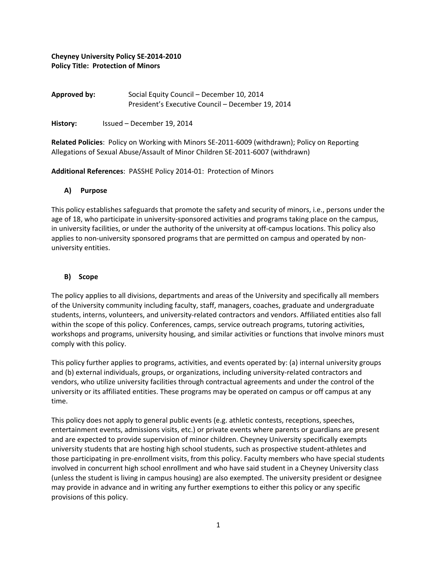# **Cheyney University Policy SE‐2014‐2010 Policy Title: Protection of Minors**

| Approved by: | Social Equity Council - December 10, 2014         |
|--------------|---------------------------------------------------|
|              | President's Executive Council – December 19, 2014 |

History: Issued – December 19, 2014

**Related Policies**: Policy on Working with Minors SE‐2011‐6009 (withdrawn); Policy on Reporting Allegations of Sexual Abuse/Assault of Minor Children SE‐2011‐6007 (withdrawn)

**Additional References**: PASSHE Policy 2014‐01: Protection of Minors

# **A) Purpose**

This policy establishes safeguards that promote the safety and security of minors, i.e., persons under the age of 18, who participate in university‐sponsored activities and programs taking place on the campus, in university facilities, or under the authority of the university at off‐campus locations. This policy also applies to non-university sponsored programs that are permitted on campus and operated by nonuniversity entities.

# **B) Scope**

The policy applies to all divisions, departments and areas of the University and specifically all members of the University community including faculty, staff, managers, coaches, graduate and undergraduate students, interns, volunteers, and university‐related contractors and vendors. Affiliated entities also fall within the scope of this policy. Conferences, camps, service outreach programs, tutoring activities, workshops and programs, university housing, and similar activities or functions that involve minors must comply with this policy.

This policy further applies to programs, activities, and events operated by: (a) internal university groups and (b) external individuals, groups, or organizations, including university-related contractors and vendors, who utilize university facilities through contractual agreements and under the control of the university or its affiliated entities. These programs may be operated on campus or off campus at any time.

This policy does not apply to general public events (e.g. athletic contests, receptions, speeches, entertainment events, admissions visits, etc.) or private events where parents or guardians are present and are expected to provide supervision of minor children. Cheyney University specifically exempts university students that are hosting high school students, such as prospective student‐athletes and those participating in pre‐enrollment visits, from this policy. Faculty members who have special students involved in concurrent high school enrollment and who have said student in a Cheyney University class (unless the student is living in campus housing) are also exempted. The university president or designee may provide in advance and in writing any further exemptions to either this policy or any specific provisions of this policy.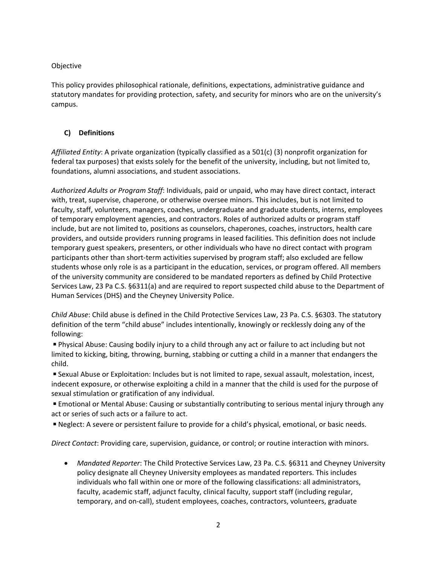# Objective

This policy provides philosophical rationale, definitions, expectations, administrative guidance and statutory mandates for providing protection, safety, and security for minors who are on the university's campus.

# **C) Definitions**

*Affiliated Entity*: A private organization (typically classified as a 501(c) (3) nonprofit organization for federal tax purposes) that exists solely for the benefit of the university, including, but not limited to, foundations, alumni associations, and student associations.

*Authorized Adults or Program Staff*: Individuals, paid or unpaid, who may have direct contact, interact with, treat, supervise, chaperone, or otherwise oversee minors. This includes, but is not limited to faculty, staff, volunteers, managers, coaches, undergraduate and graduate students, interns, employees of temporary employment agencies, and contractors. Roles of authorized adults or program staff include, but are not limited to, positions as counselors, chaperones, coaches, instructors, health care providers, and outside providers running programs in leased facilities. This definition does not include temporary guest speakers, presenters, or other individuals who have no direct contact with program participants other than short‐term activities supervised by program staff; also excluded are fellow students whose only role is as a participant in the education, services, or program offered. All members of the university community are considered to be mandated reporters as defined by Child Protective Services Law, 23 Pa C.S. §6311(a) and are required to report suspected child abuse to the Department of Human Services (DHS) and the Cheyney University Police.

*Child Abuse*: Child abuse is defined in the Child Protective Services Law, 23 Pa. C.S. §6303. The statutory definition of the term "child abuse" includes intentionally, knowingly or recklessly doing any of the following:

◾Physical Abuse: Causing bodily injury to a child through any act or failure to act including but not limited to kicking, biting, throwing, burning, stabbing or cutting a child in a manner that endangers the child.

■ Sexual Abuse or Exploitation: Includes but is not limited to rape, sexual assault, molestation, incest, indecent exposure, or otherwise exploiting a child in a manner that the child is used for the purpose of sexual stimulation or gratification of any individual.

■ Emotional or Mental Abuse: Causing or substantially contributing to serious mental injury through any act or series of such acts or a failure to act.

■ Neglect: A severe or persistent failure to provide for a child's physical, emotional, or basic needs.

*Direct Contact*: Providing care, supervision, guidance, or control; or routine interaction with minors.

 *Mandated Reporter*: The Child Protective Services Law, 23 Pa. C.S. §6311 and Cheyney University policy designate all Cheyney University employees as mandated reporters. This includes individuals who fall within one or more of the following classifications: all administrators, faculty, academic staff, adjunct faculty, clinical faculty, support staff (including regular, temporary, and on‐call), student employees, coaches, contractors, volunteers, graduate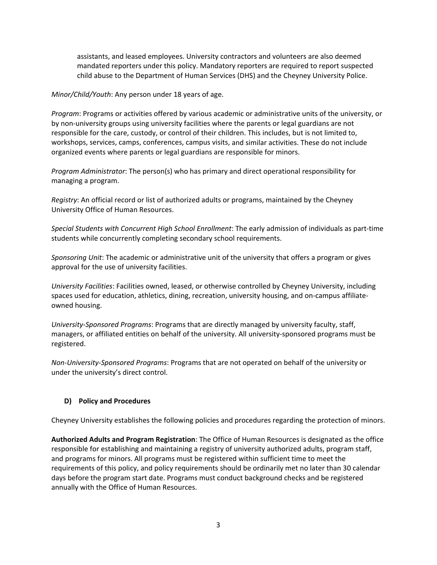assistants, and leased employees. University contractors and volunteers are also deemed mandated reporters under this policy. Mandatory reporters are required to report suspected child abuse to the Department of Human Services (DHS) and the Cheyney University Police.

*Minor/Child/Youth*: Any person under 18 years of age.

*Program*: Programs or activities offered by various academic or administrative units of the university, or by non-university groups using university facilities where the parents or legal guardians are not responsible for the care, custody, or control of their children. This includes, but is not limited to, workshops, services, camps, conferences, campus visits, and similar activities. These do not include organized events where parents or legal guardians are responsible for minors.

*Program Administrator*: The person(s) who has primary and direct operational responsibility for managing a program.

*Registry*: An official record or list of authorized adults or programs, maintained by the Cheyney University Office of Human Resources.

*Special Students with Concurrent High School Enrollment*: The early admission of individuals as part‐time students while concurrently completing secondary school requirements.

*Sponsoring Unit*: The academic or administrative unit of the university that offers a program or gives approval for the use of university facilities.

*University Facilities*: Facilities owned, leased, or otherwise controlled by Cheyney University, including spaces used for education, athletics, dining, recreation, university housing, and on‐campus affiliate‐ owned housing.

*University‐Sponsored Programs*: Programs that are directly managed by university faculty, staff, managers, or affiliated entities on behalf of the university. All university‐sponsored programs must be registered.

*Non‐University‐Sponsored Programs*: Programs that are not operated on behalf of the university or under the university's direct control.

## **D) Policy and Procedures**

Cheyney University establishes the following policies and procedures regarding the protection of minors.

**Authorized Adults and Program Registration**: The Office of Human Resources is designated as the office responsible for establishing and maintaining a registry of university authorized adults, program staff, and programs for minors. All programs must be registered within sufficient time to meet the requirements of this policy, and policy requirements should be ordinarily met no later than 30 calendar days before the program start date. Programs must conduct background checks and be registered annually with the Office of Human Resources.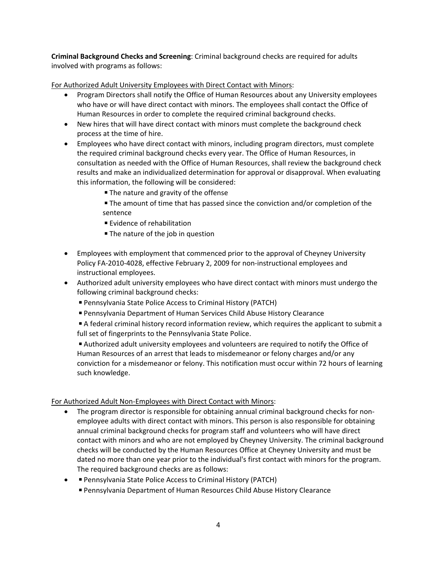**Criminal Background Checks and Screening**: Criminal background checks are required for adults involved with programs as follows:

For Authorized Adult University Employees with Direct Contact with Minors:

- Program Directors shall notify the Office of Human Resources about any University employees who have or will have direct contact with minors. The employees shall contact the Office of Human Resources in order to complete the required criminal background checks.
- New hires that will have direct contact with minors must complete the background check process at the time of hire.
- Employees who have direct contact with minors, including program directors, must complete the required criminal background checks every year. The Office of Human Resources, in consultation as needed with the Office of Human Resources, shall review the background check results and make an individualized determination for approval or disapproval. When evaluating this information, the following will be considered:
	- The nature and gravity of the offense
	- The amount of time that has passed since the conviction and/or completion of the sentence
	- Evidence of rehabilitation
	- The nature of the job in question
- Employees with employment that commenced prior to the approval of Cheyney University Policy FA‐2010‐4028, effective February 2, 2009 for non‐instructional employees and instructional employees.
- Authorized adult university employees who have direct contact with minors must undergo the following criminal background checks:
	- Pennsylvania State Police Access to Criminal History (PATCH)
	- Pennsylvania Department of Human Services Child Abuse History Clearance

■ A federal criminal history record information review, which requires the applicant to submit a full set of fingerprints to the Pennsylvania State Police.

■ Authorized adult university employees and volunteers are required to notify the Office of Human Resources of an arrest that leads to misdemeanor or felony charges and/or any conviction for a misdemeanor or felony. This notification must occur within 72 hours of learning such knowledge.

## For Authorized Adult Non‐Employees with Direct Contact with Minors:

- The program director is responsible for obtaining annual criminal background checks for nonemployee adults with direct contact with minors. This person is also responsible for obtaining annual criminal background checks for program staff and volunteers who will have direct contact with minors and who are not employed by Cheyney University. The criminal background checks will be conducted by the Human Resources Office at Cheyney University and must be dated no more than one year prior to the individual's first contact with minors for the program. The required background checks are as follows:
- Pennsylvania State Police Access to Criminal History (PATCH)
	- Pennsylvania Department of Human Resources Child Abuse History Clearance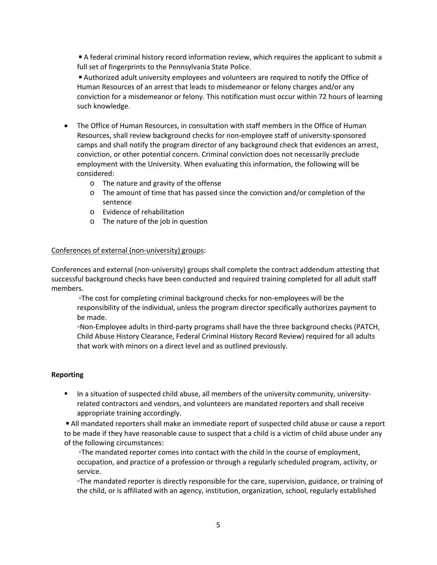■ A federal criminal history record information review, which requires the applicant to submit a full set of fingerprints to the Pennsylvania State Police.

■ Authorized adult university employees and volunteers are required to notify the Office of Human Resources of an arrest that leads to misdemeanor or felony charges and/or any conviction for a misdemeanor or felony. This notification must occur within 72 hours of learning such knowledge.

- The Office of Human Resources, in consultation with staff members in the Office of Human Resources, shall review background checks for non‐employee staff of university‐sponsored camps and shall notify the program director of any background check that evidences an arrest, conviction, or other potential concern. Criminal conviction does not necessarily preclude employment with the University. When evaluating this information, the following will be considered:
	- o The nature and gravity of the offense
	- o The amount of time that has passed since the conviction and/or completion of the sentence
	- o Evidence of rehabilitation
	- o The nature of the job in question

### Conferences of external (non‐university) groups:

Conferences and external (non‐university) groups shall complete the contract addendum attesting that successful background checks have been conducted and required training completed for all adult staff members.

◦The cost for completing criminal background checks for non‐employees will be the responsibility of the individual, unless the program director specifically authorizes payment to be made.

◦Non‐Employee adults in third‐party programs shall have the three background checks (PATCH, Child Abuse History Clearance, Federal Criminal History Record Review) required for all adults that work with minors on a direct level and as outlined previously.

### **Reporting**

■ In a situation of suspected child abuse, all members of the university community, universityrelated contractors and vendors, and volunteers are mandated reporters and shall receive appropriate training accordingly.

■ All mandated reporters shall make an immediate report of suspected child abuse or cause a report to be made if they have reasonable cause to suspect that a child is a victim of child abuse under any of the following circumstances:

◦The mandated reporter comes into contact with the child in the course of employment, occupation, and practice of a profession or through a regularly scheduled program, activity, or service.

◦The mandated reporter is directly responsible for the care, supervision, guidance, or training of the child, or is affiliated with an agency, institution, organization, school, regularly established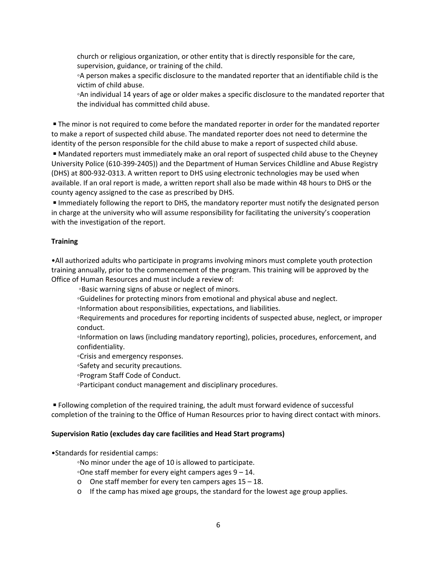church or religious organization, or other entity that is directly responsible for the care, supervision, guidance, or training of the child.

◦A person makes a specific disclosure to the mandated reporter that an identifiable child is the victim of child abuse.

◦An individual 14 years of age or older makes a specific disclosure to the mandated reporter that the individual has committed child abuse.

■ The minor is not required to come before the mandated reporter in order for the mandated reporter to make a report of suspected child abuse. The mandated reporter does not need to determine the identity of the person responsible for the child abuse to make a report of suspected child abuse.

■ Mandated reporters must immediately make an oral report of suspected child abuse to the Cheyney University Police (610‐399‐2405)) and the Department of Human Services Childline and Abuse Registry (DHS) at 800‐932‐0313. A written report to DHS using electronic technologies may be used when available. If an oral report is made, a written report shall also be made within 48 hours to DHS or the county agency assigned to the case as prescribed by DHS.

**IMMED 19 Immediately following the report to DHS, the mandatory reporter must notify the designated person** in charge at the university who will assume responsibility for facilitating the university's cooperation with the investigation of the report.

## **Training**

•All authorized adults who participate in programs involving minors must complete youth protection training annually, prior to the commencement of the program. This training will be approved by the Office of Human Resources and must include a review of:

◦Basic warning signs of abuse or neglect of minors.

◦Guidelines for protecting minors from emotional and physical abuse and neglect.

◦Information about responsibilities, expectations, and liabilities.

◦Requirements and procedures for reporting incidents of suspected abuse, neglect, or improper conduct.

◦Information on laws (including mandatory reporting), policies, procedures, enforcement, and confidentiality.

◦Crisis and emergency responses.

◦Safety and security precautions.

◦Program Staff Code of Conduct.

◦Participant conduct management and disciplinary procedures.

■ Following completion of the required training, the adult must forward evidence of successful completion of the training to the Office of Human Resources prior to having direct contact with minors.

## **Supervision Ratio (excludes day care facilities and Head Start programs)**

•Standards for residential camps:

◦No minor under the age of 10 is allowed to participate.

◦One staff member for every eight campers ages 9 – 14.

- o One staff member for every ten campers ages 15 18.
- $\circ$  If the camp has mixed age groups, the standard for the lowest age group applies.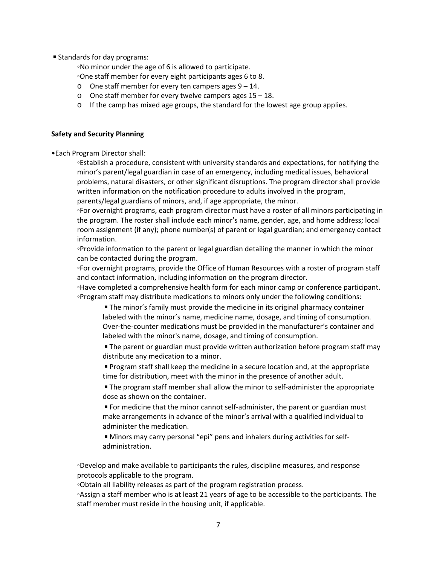■ Standards for day programs:

◦No minor under the age of 6 is allowed to participate.

◦One staff member for every eight participants ages 6 to 8.

- o One staff member for every ten campers ages  $9 14$ .
- o One staff member for every twelve campers ages  $15 18$ .
- o If the camp has mixed age groups, the standard for the lowest age group applies.

### **Safety and Security Planning**

•Each Program Director shall:

◦Establish a procedure, consistent with university standards and expectations, for notifying the minor's parent/legal guardian in case of an emergency, including medical issues, behavioral problems, natural disasters, or other significant disruptions. The program director shall provide written information on the notification procedure to adults involved in the program, parents/legal guardians of minors, and, if age appropriate, the minor.

◦For overnight programs, each program director must have a roster of all minors participating in the program. The roster shall include each minor's name, gender, age, and home address; local room assignment (if any); phone number(s) of parent or legal guardian; and emergency contact information.

◦Provide information to the parent or legal guardian detailing the manner in which the minor can be contacted during the program.

◦For overnight programs, provide the Office of Human Resources with a roster of program staff and contact information, including information on the program director.

◦Have completed a comprehensive health form for each minor camp or conference participant. ◦Program staff may distribute medications to minors only under the following conditions:

■ The minor's family must provide the medicine in its original pharmacy container labeled with the minor's name, medicine name, dosage, and timing of consumption. Over-the-counter medications must be provided in the manufacturer's container and labeled with the minor's name, dosage, and timing of consumption.

■ The parent or guardian must provide written authorization before program staff may distribute any medication to a minor.

■ Program staff shall keep the medicine in a secure location and, at the appropriate time for distribution, meet with the minor in the presence of another adult.

■ The program staff member shall allow the minor to self-administer the appropriate dose as shown on the container.

■ For medicine that the minor cannot self-administer, the parent or guardian must make arrangements in advance of the minor's arrival with a qualified individual to administer the medication.

■ Minors may carry personal "epi" pens and inhalers during activities for selfadministration.

◦Develop and make available to participants the rules, discipline measures, and response protocols applicable to the program.

◦Obtain all liability releases as part of the program registration process.

◦Assign a staff member who is at least 21 years of age to be accessible to the participants. The staff member must reside in the housing unit, if applicable.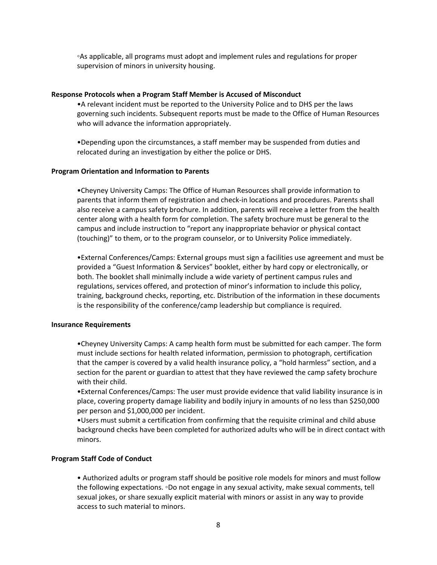◦As applicable, all programs must adopt and implement rules and regulations for proper supervision of minors in university housing.

#### **Response Protocols when a Program Staff Member is Accused of Misconduct**

•A relevant incident must be reported to the University Police and to DHS per the laws governing such incidents. Subsequent reports must be made to the Office of Human Resources who will advance the information appropriately.

•Depending upon the circumstances, a staff member may be suspended from duties and relocated during an investigation by either the police or DHS.

#### **Program Orientation and Information to Parents**

•Cheyney University Camps: The Office of Human Resources shall provide information to parents that inform them of registration and check‐in locations and procedures. Parents shall also receive a campus safety brochure. In addition, parents will receive a letter from the health center along with a health form for completion. The safety brochure must be general to the campus and include instruction to "report any inappropriate behavior or physical contact (touching)" to them, or to the program counselor, or to University Police immediately.

•External Conferences/Camps: External groups must sign a facilities use agreement and must be provided a "Guest Information & Services" booklet, either by hard copy or electronically, or both. The booklet shall minimally include a wide variety of pertinent campus rules and regulations, services offered, and protection of minor's information to include this policy, training, background checks, reporting, etc. Distribution of the information in these documents is the responsibility of the conference/camp leadership but compliance is required.

#### **Insurance Requirements**

•Cheyney University Camps: A camp health form must be submitted for each camper. The form must include sections for health related information, permission to photograph, certification that the camper is covered by a valid health insurance policy, a "hold harmless" section, and a section for the parent or guardian to attest that they have reviewed the camp safety brochure with their child.

•External Conferences/Camps: The user must provide evidence that valid liability insurance is in place, covering property damage liability and bodily injury in amounts of no less than \$250,000 per person and \$1,000,000 per incident.

•Users must submit a certification from confirming that the requisite criminal and child abuse background checks have been completed for authorized adults who will be in direct contact with minors.

#### **Program Staff Code of Conduct**

• Authorized adults or program staff should be positive role models for minors and must follow the following expectations. ◦Do not engage in any sexual activity, make sexual comments, tell sexual jokes, or share sexually explicit material with minors or assist in any way to provide access to such material to minors.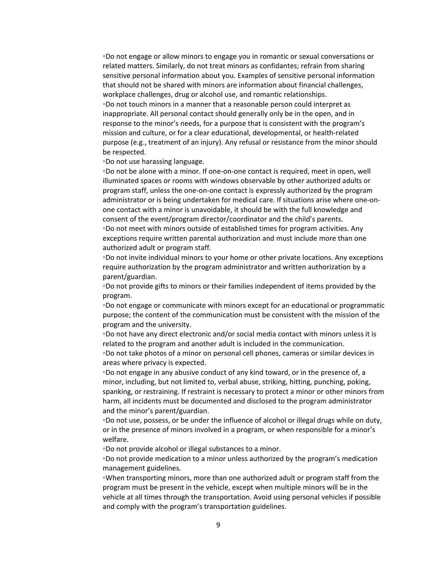◦Do not engage or allow minors to engage you in romantic or sexual conversations or related matters. Similarly, do not treat minors as confidantes; refrain from sharing sensitive personal information about you. Examples of sensitive personal information that should not be shared with minors are information about financial challenges, workplace challenges, drug or alcohol use, and romantic relationships. ◦Do not touch minors in a manner that a reasonable person could interpret as inappropriate. All personal contact should generally only be in the open, and in response to the minor's needs, for a purpose that is consistent with the program's mission and culture, or for a clear educational, developmental, or health‐related purpose (e.g., treatment of an injury). Any refusal or resistance from the minor should be respected.

◦Do not use harassing language.

◦Do not be alone with a minor. If one‐on‐one contact is required, meet in open, well illuminated spaces or rooms with windows observable by other authorized adults or program staff, unless the one‐on‐one contact is expressly authorized by the program administrator or is being undertaken for medical care. If situations arise where one‐on‐ one contact with a minor is unavoidable, it should be with the full knowledge and consent of the event/program director/coordinator and the child's parents. ◦Do not meet with minors outside of established times for program activities. Any exceptions require written parental authorization and must include more than one authorized adult or program staff.

◦Do not invite individual minors to your home or other private locations. Any exceptions require authorization by the program administrator and written authorization by a parent/guardian.

◦Do not provide gifts to minors or their families independent of items provided by the program.

◦Do not engage or communicate with minors except for an educational or programmatic purpose; the content of the communication must be consistent with the mission of the program and the university.

◦Do not have any direct electronic and/or social media contact with minors unless it is related to the program and another adult is included in the communication.

◦Do not take photos of a minor on personal cell phones, cameras or similar devices in areas where privacy is expected.

◦Do not engage in any abusive conduct of any kind toward, or in the presence of, a minor, including, but not limited to, verbal abuse, striking, hitting, punching, poking, spanking, or restraining. If restraint is necessary to protect a minor or other minors from harm, all incidents must be documented and disclosed to the program administrator and the minor's parent/guardian.

◦Do not use, possess, or be under the influence of alcohol or illegal drugs while on duty, or in the presence of minors involved in a program, or when responsible for a minor's welfare.

◦Do not provide alcohol or illegal substances to a minor.

◦Do not provide medication to a minor unless authorized by the program's medication management guidelines.

◦When transporting minors, more than one authorized adult or program staff from the program must be present in the vehicle, except when multiple minors will be in the vehicle at all times through the transportation. Avoid using personal vehicles if possible and comply with the program's transportation guidelines.